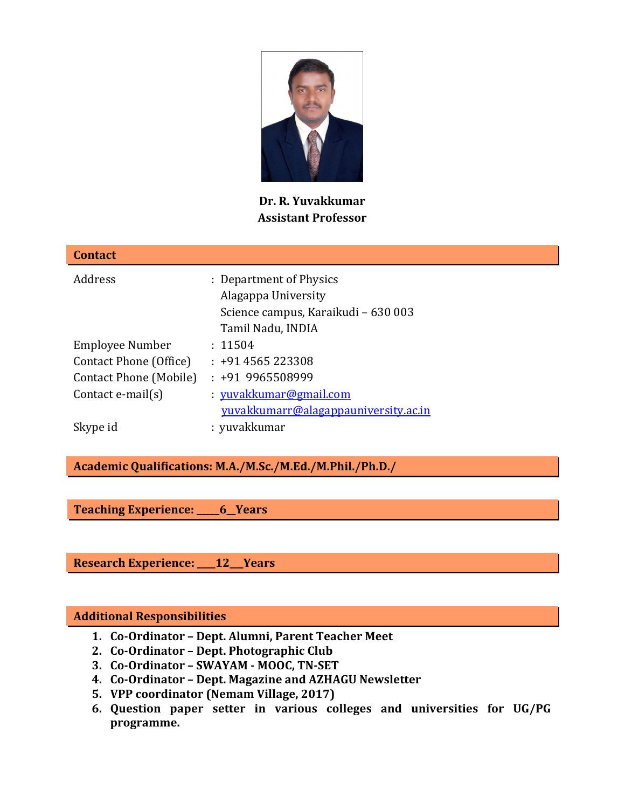

**Dr. R. Yuvakkumar Assistant Professor** 

| <b>Contact</b>          |                                                                                                            |
|-------------------------|------------------------------------------------------------------------------------------------------------|
| Address                 | : Department of Physics<br>Alagappa University<br>Science campus, Karaikudi - 630 003<br>Tamil Nadu, INDIA |
| Employee Number         | : 11504                                                                                                    |
| Contact Phone (Office)  | $: +914565223308$                                                                                          |
| Contact Phone (Mobile)  | $: +919965508999$                                                                                          |
| Contact $e$ -mail $(s)$ | : yuvakkumar@gmail.com                                                                                     |
|                         | yuvakkumarr@alagappauniversity.ac.in                                                                       |
| Skype id                | : yuvakkumar                                                                                               |

**Academic Qualifications: M.A./M.Sc./M.Ed./M.Phil./Ph.D./** 

**Teaching Experience: \_\_\_\_\_6\_\_Years** 

**Research Experience: \_\_\_\_12\_\_\_Years** 

#### **Additional Responsibilities**

- **1. Co-Ordinator Dept. Alumni, Parent Teacher Meet**
- **2. Co-Ordinator Dept. Photographic Club**
- **3. Co-Ordinator SWAYAM MOOC, TN-SET**
- **4. Co-Ordinator Dept. Magazine and AZHAGU Newsletter**
- **5. VPP coordinator (Nemam Village, 2017)**
- **6. Question paper setter in various colleges and universities for UG/PG programme.**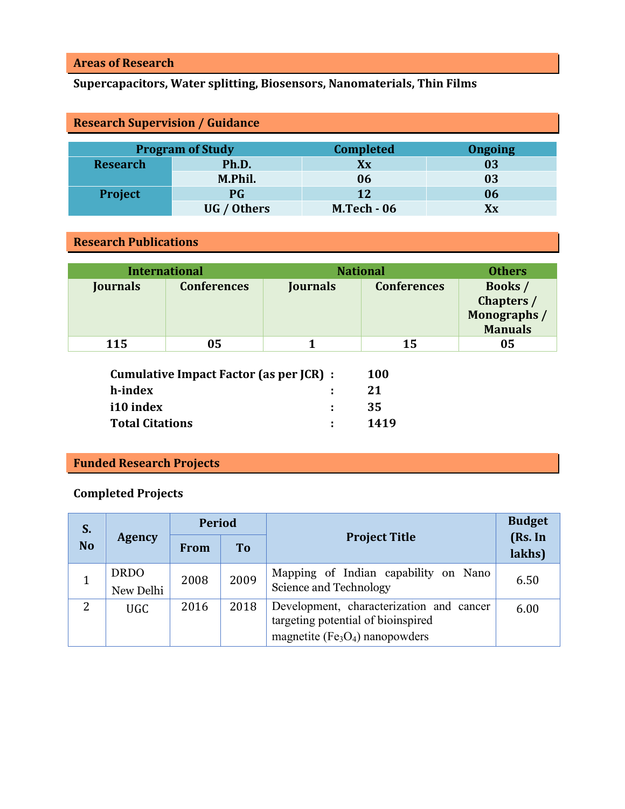#### **Areas of Research**

# **Supercapacitors, Water splitting, Biosensors, Nanomaterials, Thin Films**

| <b>Research Supervision / Guidance</b>                        |             |                    |    |  |  |  |
|---------------------------------------------------------------|-------------|--------------------|----|--|--|--|
| <b>Completed</b><br><b>Program of Study</b><br><b>Ongoing</b> |             |                    |    |  |  |  |
| <b>Research</b>                                               | Ph.D.       | Xx                 | 03 |  |  |  |
|                                                               | M.Phil.     | 06                 | 03 |  |  |  |
| Project                                                       | <b>PG</b>   | 12                 | 06 |  |  |  |
|                                                               | UG / Others | <b>M.Tech - 06</b> | Хx |  |  |  |

#### **Research Publications**

| <b>International</b> |                    |                 | <b>National</b>    | <b>Others</b>                                                |
|----------------------|--------------------|-----------------|--------------------|--------------------------------------------------------------|
| Journals             | <b>Conferences</b> | <b>Journals</b> | <b>Conferences</b> | <b>Books</b> /<br>Chapters /<br>Monographs<br><b>Manuals</b> |
| 115                  | 05                 |                 | 15                 | 05                                                           |

| Cumulative Impact Factor (as per JCR) : |    | <b>100</b> |
|-----------------------------------------|----|------------|
| h-index                                 |    | 21         |
| i10 index                               | ÷. | 35         |
| <b>Total Citations</b>                  |    | 1419       |

# **Funded Research Projects**

### **Completed Projects**

| S.             |                          | <b>Period</b> |           |                                                                                                                     | <b>Budget</b>     |
|----------------|--------------------------|---------------|-----------|---------------------------------------------------------------------------------------------------------------------|-------------------|
| <b>No</b>      | <b>Agency</b>            | <b>From</b>   | <b>To</b> | <b>Project Title</b>                                                                                                | (Rs. In<br>lakhs) |
|                | <b>DRDO</b><br>New Delhi | 2008          | 2009      | Mapping of Indian capability on Nano<br>Science and Technology                                                      | 6.50              |
| $\overline{2}$ | <b>UGC</b>               | 2016          | 2018      | Development, characterization and cancer<br>targeting potential of bioinspired<br>magnetite ( $Fe3O4$ ) nanopowders | 6.00              |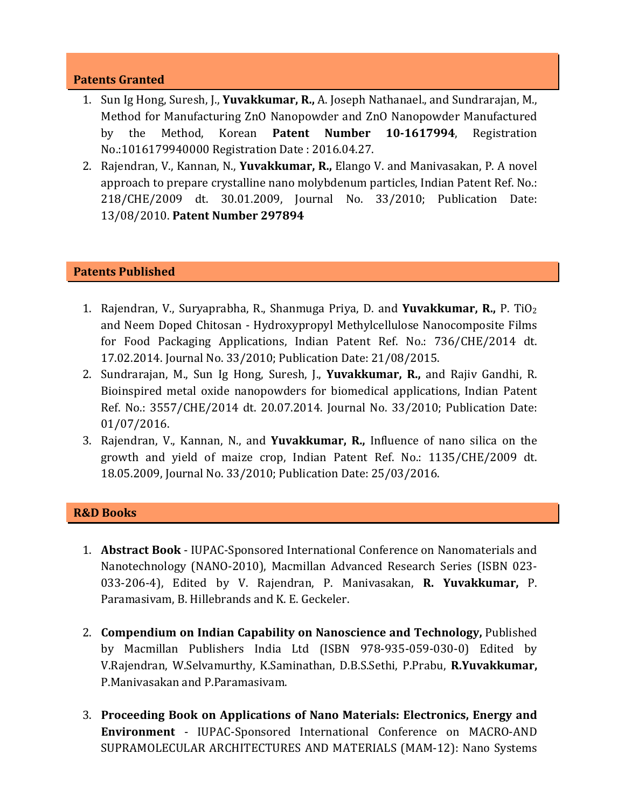#### **Patents Granted**

- 1. Sun Ig Hong, Suresh, J., **Yuvakkumar, R.,** A. Joseph Nathanael., and Sundrarajan, M., Method for Manufacturing ZnO Nanopowder and ZnO Nanopowder Manufactured by the Method, Korean **Patent Number 10-1617994**, Registration No.:1016179940000 Registration Date : 2016.04.27.
- 2. Rajendran, V., Kannan, N., **Yuvakkumar, R.,** Elango V. and Manivasakan, P. A novel approach to prepare crystalline nano molybdenum particles, Indian Patent Ref. No.: 218/CHE/2009 dt. 30.01.2009, Journal No. 33/2010; Publication Date: 13/08/2010. **Patent Number 297894**

#### **Patents Published**

- 1. Rajendran, V., Suryaprabha, R., Shanmuga Priya, D. and **Yuvakkumar, R.,** P. TiO<sup>2</sup> and Neem Doped Chitosan - Hydroxypropyl Methylcellulose Nanocomposite Films for Food Packaging Applications, Indian Patent Ref. No.: 736/CHE/2014 dt. 17.02.2014. Journal No. 33/2010; Publication Date: 21/08/2015.
- 2. Sundrarajan, M., Sun Ig Hong, Suresh, J., **Yuvakkumar, R.,** and Rajiv Gandhi, R. Bioinspired metal oxide nanopowders for biomedical applications, Indian Patent Ref. No.: 3557/CHE/2014 dt. 20.07.2014. Journal No. 33/2010; Publication Date: 01/07/2016.
- 3. Rajendran, V., Kannan, N., and **Yuvakkumar, R.,** Influence of nano silica on the growth and yield of maize crop, Indian Patent Ref. No.: 1135/CHE/2009 dt. 18.05.2009, Journal No. 33/2010; Publication Date: 25/03/2016.

#### **R&D Books**

- 1. **Abstract Book** IUPAC-Sponsored International Conference on Nanomaterials and Nanotechnology (NANO-2010), Macmillan Advanced Research Series (ISBN 023- 033-206-4), Edited by V. Rajendran, P. Manivasakan, **R. Yuvakkumar,** P. Paramasivam, B. Hillebrands and K. E. Geckeler.
- 2. **Compendium on Indian Capability on Nanoscience and Technology,** Published by Macmillan Publishers India Ltd (ISBN 978-935-059-030-0) Edited by V.Rajendran, W.Selvamurthy, K.Saminathan, D.B.S.Sethi, P.Prabu, **R.Yuvakkumar,** P.Manivasakan and P.Paramasivam.
- 3. **Proceeding Book on Applications of Nano Materials: Electronics, Energy and Environment** - IUPAC-Sponsored International Conference on MACRO-AND SUPRAMOLECULAR ARCHITECTURES AND MATERIALS (MAM-12): Nano Systems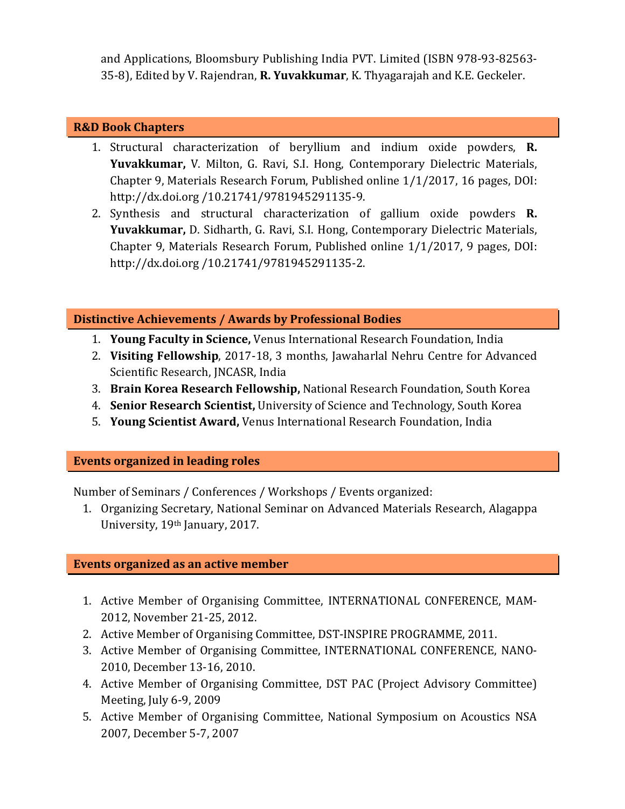and Applications, Bloomsbury Publishing India PVT. Limited (ISBN 978-93-82563- 35-8), Edited by V. Rajendran, **R. Yuvakkumar**, K. Thyagarajah and K.E. Geckeler.

#### **R&D Book Chapters**

- 1. Structural characterization of beryllium and indium oxide powders, **R. Yuvakkumar,** V. Milton, G. Ravi, S.I. Hong, Contemporary Dielectric Materials, Chapter 9, Materials Research Forum, Published online 1/1/2017, 16 pages, DOI: http://dx.doi.org /10.21741/9781945291135-9.
- 2. Synthesis and structural characterization of gallium oxide powders **R. Yuvakkumar,** D. Sidharth, G. Ravi, S.I. Hong, Contemporary Dielectric Materials, Chapter 9, Materials Research Forum, Published online 1/1/2017, 9 pages, DOI: http://dx.doi.org /10.21741/9781945291135-2.

#### **Distinctive Achievements / Awards by Professional Bodies**

- 1. **Young Faculty in Science,** Venus International Research Foundation, India
- 2. **Visiting Fellowship**, 2017-18, 3 months, Jawaharlal Nehru Centre for Advanced Scientific Research, JNCASR, India
- 3. **Brain Korea Research Fellowship,** National Research Foundation, South Korea
- 4. **Senior Research Scientist,** University of Science and Technology, South Korea
- 5. **Young Scientist Award,** Venus International Research Foundation, India

#### **Events organized in leading roles**

Number of Seminars / Conferences / Workshops / Events organized:

1. Organizing Secretary, National Seminar on Advanced Materials Research, Alagappa University, 19th January, 2017.

## **Events organized as an active member**

- 1. Active Member of Organising Committee, INTERNATIONAL CONFERENCE, MAM-2012, November 21-25, 2012.
- 2. Active Member of Organising Committee, DST-INSPIRE PROGRAMME, 2011.
- 3. Active Member of Organising Committee, INTERNATIONAL CONFERENCE, NANO-2010, December 13-16, 2010.
- 4. Active Member of Organising Committee, DST PAC (Project Advisory Committee) Meeting, July 6-9, 2009
- 5. Active Member of Organising Committee, National Symposium on Acoustics NSA 2007, December 5-7, 2007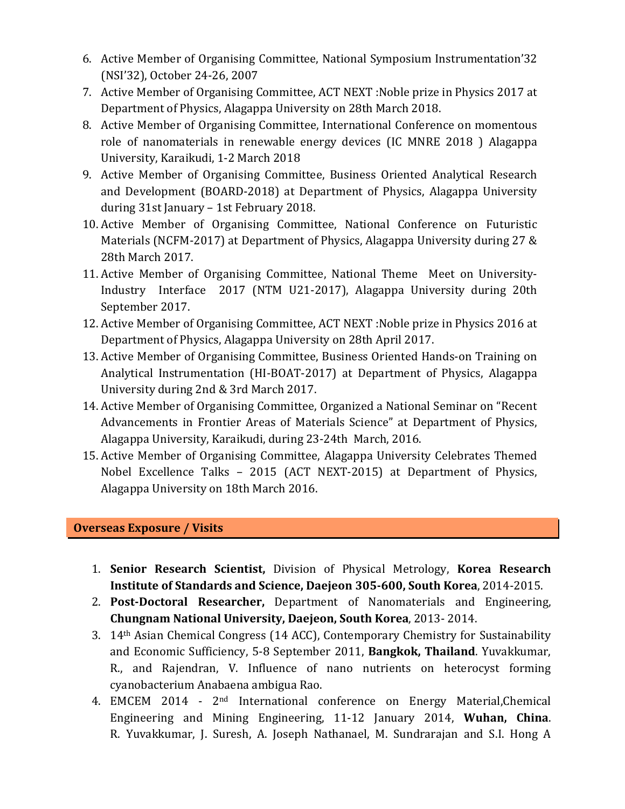- 6. Active Member of Organising Committee, National Symposium Instrumentation'32 (NSI'32), October 24-26, 2007
- 7. Active Member of Organising Committee, ACT NEXT :Noble prize in Physics 2017 at Department of Physics, Alagappa University on 28th March 2018.
- 8. Active Member of Organising Committee, International Conference on momentous role of nanomaterials in renewable energy devices (IC MNRE 2018 ) Alagappa University, Karaikudi, 1-2 March 2018
- 9. Active Member of Organising Committee, Business Oriented Analytical Research and Development (BOARD-2018) at Department of Physics, Alagappa University during 31st January – 1st February 2018.
- 10. Active Member of Organising Committee, National Conference on Futuristic Materials (NCFM-2017) at Department of Physics, Alagappa University during 27 & 28th March 2017.
- 11. Active Member of Organising Committee, National Theme Meet on University-Industry Interface 2017 (NTM U21-2017), Alagappa University during 20th September 2017.
- 12. Active Member of Organising Committee, ACT NEXT :Noble prize in Physics 2016 at Department of Physics, Alagappa University on 28th April 2017.
- 13. Active Member of Organising Committee, Business Oriented Hands-on Training on Analytical Instrumentation (HI-BOAT-2017) at Department of Physics, Alagappa University during 2nd & 3rd March 2017.
- 14. Active Member of Organising Committee, Organized a National Seminar on "Recent Advancements in Frontier Areas of Materials Science" at Department of Physics, Alagappa University, Karaikudi, during 23-24th March, 2016.
- 15. Active Member of Organising Committee, Alagappa University Celebrates Themed Nobel Excellence Talks – 2015 (ACT NEXT-2015) at Department of Physics, Alagappa University on 18th March 2016.

## **Overseas Exposure / Visits**

- 1. **Senior Research Scientist,** Division of Physical Metrology, **Korea Research Institute of Standards and Science, Daejeon 305-600, South Korea**, 2014-2015.
- 2. **Post-Doctoral Researcher,** Department of Nanomaterials and Engineering, **Chungnam National University, Daejeon, South Korea**, 2013- 2014.
- 3. 14th Asian Chemical Congress (14 ACC), Contemporary Chemistry for Sustainability and Economic Sufficiency, 5-8 September 2011, **Bangkok, Thailand**. Yuvakkumar, R., and Rajendran, V. Influence of nano nutrients on heterocyst forming cyanobacterium Anabaena ambigua Rao.
- 4. EMCEM 2014 2nd International conference on Energy Material,Chemical Engineering and Mining Engineering, 11-12 January 2014, **Wuhan, China**. R. Yuvakkumar, J. Suresh, A. Joseph Nathanael, M. Sundrarajan and S.I. Hong A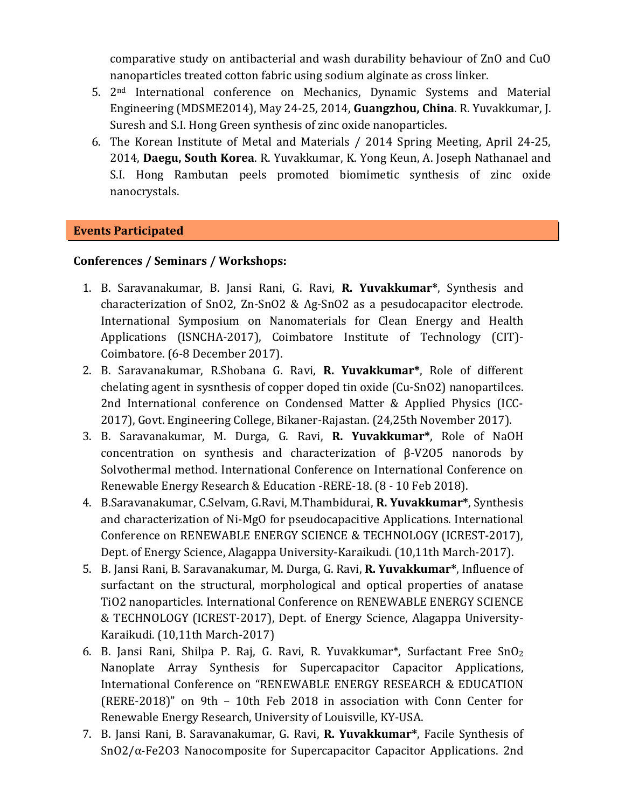comparative study on antibacterial and wash durability behaviour of ZnO and CuO nanoparticles treated cotton fabric using sodium alginate as cross linker.

- 5. 2nd International conference on Mechanics, Dynamic Systems and Material Engineering (MDSME2014), May 24-25, 2014, **Guangzhou, China**. R. Yuvakkumar, J. Suresh and S.I. Hong Green synthesis of zinc oxide nanoparticles.
- 6. The Korean Institute of Metal and Materials / 2014 Spring Meeting, April 24-25, 2014, **Daegu, South Korea**. R. Yuvakkumar, K. Yong Keun, A. Joseph Nathanael and S.I. Hong Rambutan peels promoted biomimetic synthesis of zinc oxide nanocrystals.

#### **Events Participated**

#### **Conferences / Seminars / Workshops:**

- 1. B. Saravanakumar, B. Jansi Rani, G. Ravi, **R. Yuvakkumar\***, Synthesis and characterization of SnO2, Zn-SnO2 & Ag-SnO2 as a pesudocapacitor electrode. International Symposium on Nanomaterials for Clean Energy and Health Applications (ISNCHA-2017), Coimbatore Institute of Technology (CIT)- Coimbatore. (6-8 December 2017).
- 2. B. Saravanakumar, R.Shobana G. Ravi, **R. Yuvakkumar\***, Role of different chelating agent in sysnthesis of copper doped tin oxide (Cu-SnO2) nanopartilces. 2nd International conference on Condensed Matter & Applied Physics (ICC-2017), Govt. Engineering College, Bikaner-Rajastan. (24,25th November 2017).
- 3. B. Saravanakumar, M. Durga, G. Ravi, **R. Yuvakkumar\***, Role of NaOH concentration on synthesis and characterization of β-V2O5 nanorods by Solvothermal method. International Conference on International Conference on Renewable Energy Research & Education -RERE-18. (8 - 10 Feb 2018).
- 4. B.Saravanakumar, C.Selvam, G.Ravi, M.Thambidurai, **R. Yuvakkumar\***, Synthesis and characterization of Ni-MgO for pseudocapacitive Applications. International Conference on RENEWABLE ENERGY SCIENCE & TECHNOLOGY (ICREST-2017), Dept. of Energy Science, Alagappa University-Karaikudi. (10,11th March-2017).
- 5. B. Jansi Rani, B. Saravanakumar, M. Durga, G. Ravi, **R. Yuvakkumar\***, Influence of surfactant on the structural, morphological and optical properties of anatase TiO2 nanoparticles. International Conference on RENEWABLE ENERGY SCIENCE & TECHNOLOGY (ICREST-2017), Dept. of Energy Science, Alagappa University-Karaikudi. (10,11th March-2017)
- 6. B. Jansi Rani, Shilpa P. Raj, G. Ravi, R. Yuvakkumar\*, Surfactant Free SnO<sup>2</sup> Nanoplate Array Synthesis for Supercapacitor Capacitor Applications, International Conference on "RENEWABLE ENERGY RESEARCH & EDUCATION (RERE-2018)" on 9th – 10th Feb 2018 in association with Conn Center for Renewable Energy Research, University of Louisville, KY-USA.
- 7. B. Jansi Rani, B. Saravanakumar, G. Ravi, **R. Yuvakkumar\***, Facile Synthesis of SnO2/α-Fe2O3 Nanocomposite for Supercapacitor Capacitor Applications. 2nd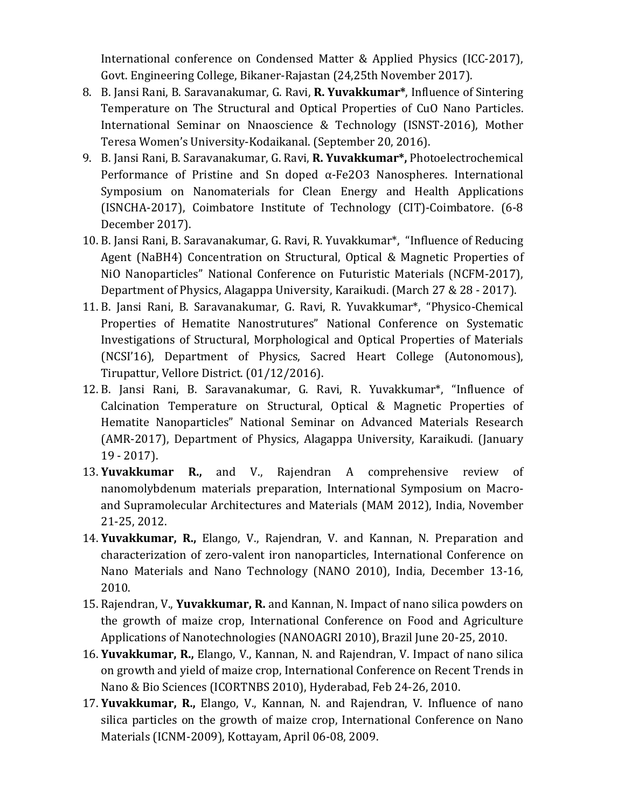International conference on Condensed Matter & Applied Physics (ICC-2017), Govt. Engineering College, Bikaner-Rajastan (24,25th November 2017).

- 8. B. Jansi Rani, B. Saravanakumar, G. Ravi, **R. Yuvakkumar\***, Influence of Sintering Temperature on The Structural and Optical Properties of CuO Nano Particles. International Seminar on Nnaoscience & Technology (ISNST-2016), Mother Teresa Women's University-Kodaikanal. (September 20, 2016).
- 9. B. Jansi Rani, B. Saravanakumar, G. Ravi, **R. Yuvakkumar\*,** Photoelectrochemical Performance of Pristine and Sn doped α-Fe2O3 Nanospheres. International Symposium on Nanomaterials for Clean Energy and Health Applications (ISNCHA-2017), Coimbatore Institute of Technology (CIT)-Coimbatore. (6-8 December 2017).
- 10. B. Jansi Rani, B. Saravanakumar, G. Ravi, R. Yuvakkumar\*, "Influence of Reducing Agent (NaBH4) Concentration on Structural, Optical & Magnetic Properties of NiO Nanoparticles" National Conference on Futuristic Materials (NCFM-2017), Department of Physics, Alagappa University, Karaikudi. (March 27 & 28 - 2017).
- 11. B. Jansi Rani, B. Saravanakumar, G. Ravi, R. Yuvakkumar\*, "Physico-Chemical Properties of Hematite Nanostrutures" National Conference on Systematic Investigations of Structural, Morphological and Optical Properties of Materials (NCSI'16), Department of Physics, Sacred Heart College (Autonomous), Tirupattur, Vellore District. (01/12/2016).
- 12. B. Jansi Rani, B. Saravanakumar, G. Ravi, R. Yuvakkumar\*, "Influence of Calcination Temperature on Structural, Optical & Magnetic Properties of Hematite Nanoparticles" National Seminar on Advanced Materials Research (AMR-2017), Department of Physics, Alagappa University, Karaikudi. (January 19 - 2017).
- 13. **Yuvakkumar R.,** and V., Rajendran A comprehensive review of nanomolybdenum materials preparation, International Symposium on Macroand Supramolecular Architectures and Materials (MAM 2012), India, November 21-25, 2012.
- 14. **Yuvakkumar, R.,** Elango, V., Rajendran, V. and Kannan, N. Preparation and characterization of zero-valent iron nanoparticles, International Conference on Nano Materials and Nano Technology (NANO 2010), India, December 13-16, 2010.
- 15. Rajendran, V., **Yuvakkumar, R.** and Kannan, N. Impact of nano silica powders on the growth of maize crop, International Conference on Food and Agriculture Applications of Nanotechnologies (NANOAGRI 2010), Brazil June 20-25, 2010.
- 16. **Yuvakkumar, R.,** Elango, V., Kannan, N. and Rajendran, V. Impact of nano silica on growth and yield of maize crop, International Conference on Recent Trends in Nano & Bio Sciences (ICORTNBS 2010), Hyderabad, Feb 24-26, 2010.
- 17. **Yuvakkumar, R.,** Elango, V., Kannan, N. and Rajendran, V. Influence of nano silica particles on the growth of maize crop, International Conference on Nano Materials (ICNM-2009), Kottayam, April 06-08, 2009.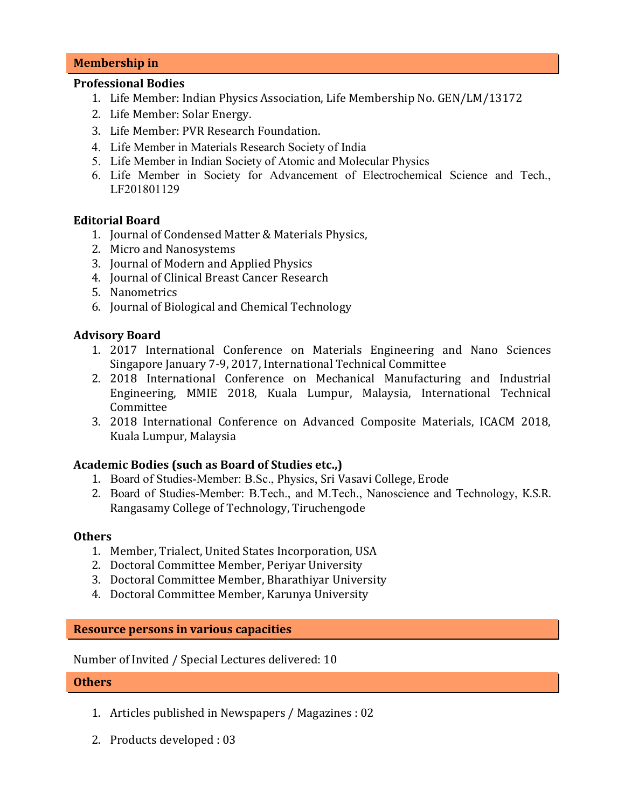#### **Membership in**

#### **Professional Bodies**

- 1. Life Member: Indian Physics Association, Life Membership No. GEN/LM/13172
- 2. Life Member: Solar Energy.
- 3. Life Member: PVR Research Foundation.
- 4. Life Member in Materials Research Society of India
- 5. Life Member in Indian Society of Atomic and Molecular Physics
- 6. Life Member in Society for Advancement of Electrochemical Science and Tech., LF201801129

#### **Editorial Board**

- 1. Journal of Condensed Matter & Materials Physics,
- 2. Micro and Nanosystems
- 3. Journal of Modern and Applied Physics
- 4. Journal of Clinical Breast Cancer Research
- 5. Nanometrics
- 6. Journal of Biological and Chemical Technology

#### **Advisory Board**

- 1. 2017 International Conference on Materials Engineering and Nano Sciences Singapore January 7-9, 2017, International Technical Committee
- 2. 2018 International Conference on Mechanical Manufacturing and Industrial Engineering, MMIE 2018, Kuala Lumpur, Malaysia, International Technical Committee
- 3. 2018 International Conference on Advanced Composite Materials, ICACM 2018, Kuala Lumpur, Malaysia

#### **Academic Bodies (such as Board of Studies etc.,)**

- 1. Board of Studies-Member: B.Sc., Physics, Sri Vasavi College, Erode
- 2. Board of Studies-Member: B.Tech., and M.Tech., Nanoscience and Technology, K.S.R. Rangasamy College of Technology, Tiruchengode

#### **Others**

- 1. Member, Trialect, United States Incorporation, USA
- 2. Doctoral Committee Member, Periyar University
- 3. Doctoral Committee Member, Bharathiyar University
- 4. Doctoral Committee Member, Karunya University

#### **Resource persons in various capacities**

Number of Invited / Special Lectures delivered: 10

#### **Others**

- 1. Articles published in Newspapers / Magazines : 02
- 2. Products developed : 03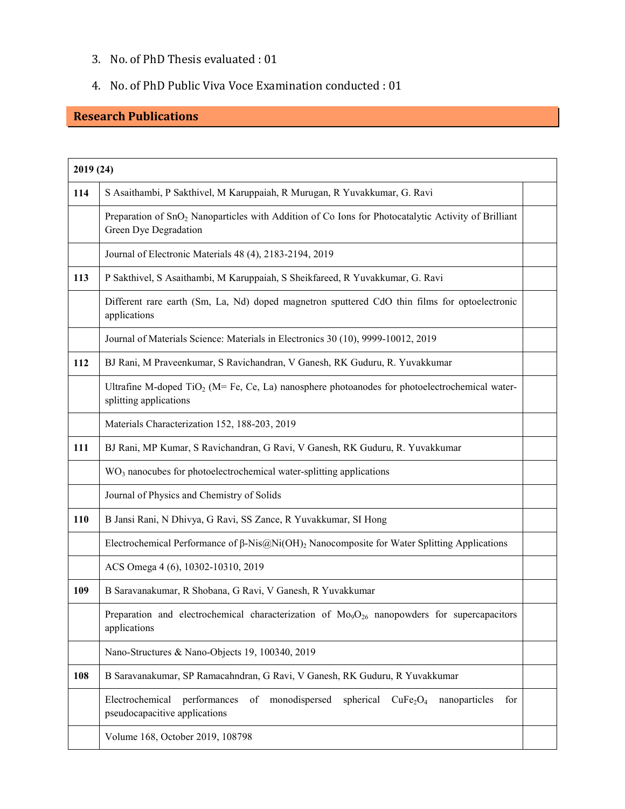## 3. No. of PhD Thesis evaluated : 01

#### 4. No. of PhD Public Viva Voce Examination conducted : 01

# **Research Publications**

| 2019 (24) |                                                                                                                                                                  |  |
|-----------|------------------------------------------------------------------------------------------------------------------------------------------------------------------|--|
| 114       | S Asaithambi, P Sakthivel, M Karuppaiah, R Murugan, R Yuvakkumar, G. Ravi                                                                                        |  |
|           | Preparation of SnO <sub>2</sub> Nanoparticles with Addition of Co Ions for Photocatalytic Activity of Brilliant<br>Green Dye Degradation                         |  |
|           | Journal of Electronic Materials 48 (4), 2183-2194, 2019                                                                                                          |  |
| 113       | P Sakthivel, S Asaithambi, M Karuppaiah, S Sheikfareed, R Yuvakkumar, G. Ravi                                                                                    |  |
|           | Different rare earth (Sm, La, Nd) doped magnetron sputtered CdO thin films for optoelectronic<br>applications                                                    |  |
|           | Journal of Materials Science: Materials in Electronics 30 (10), 9999-10012, 2019                                                                                 |  |
| 112       | BJ Rani, M Praveenkumar, S Ravichandran, V Ganesh, RK Guduru, R. Yuvakkumar                                                                                      |  |
|           | Ultrafine M-doped TiO <sub>2</sub> (M= Fe, Ce, La) nanosphere photoanodes for photoelectrochemical water-<br>splitting applications                              |  |
|           | Materials Characterization 152, 188-203, 2019                                                                                                                    |  |
| 111       | BJ Rani, MP Kumar, S Ravichandran, G Ravi, V Ganesh, RK Guduru, R. Yuvakkumar                                                                                    |  |
|           | WO <sub>3</sub> nanocubes for photoelectrochemical water-splitting applications                                                                                  |  |
|           | Journal of Physics and Chemistry of Solids                                                                                                                       |  |
| 110       | B Jansi Rani, N Dhivya, G Ravi, SS Zance, R Yuvakkumar, SI Hong                                                                                                  |  |
|           | Electrochemical Performance of $\beta$ -Nis $\omega$ Ni(OH) <sub>2</sub> Nanocomposite for Water Splitting Applications                                          |  |
|           | ACS Omega 4 (6), 10302-10310, 2019                                                                                                                               |  |
| 109       | B Saravanakumar, R Shobana, G Ravi, V Ganesh, R Yuvakkumar                                                                                                       |  |
|           | Preparation and electrochemical characterization of $Mo9O26$ nanopowders for supercapacitors<br>applications                                                     |  |
|           | Nano-Structures & Nano-Objects 19, 100340, 2019                                                                                                                  |  |
| 108       | B Saravanakumar, SP Ramacahndran, G Ravi, V Ganesh, RK Guduru, R Yuvakkumar                                                                                      |  |
|           | Electrochemical<br>performances<br>monodispersed<br>spherical<br>CuFe <sub>2</sub> O <sub>4</sub><br>of<br>for<br>nanoparticles<br>pseudocapacitive applications |  |
|           | Volume 168, October 2019, 108798                                                                                                                                 |  |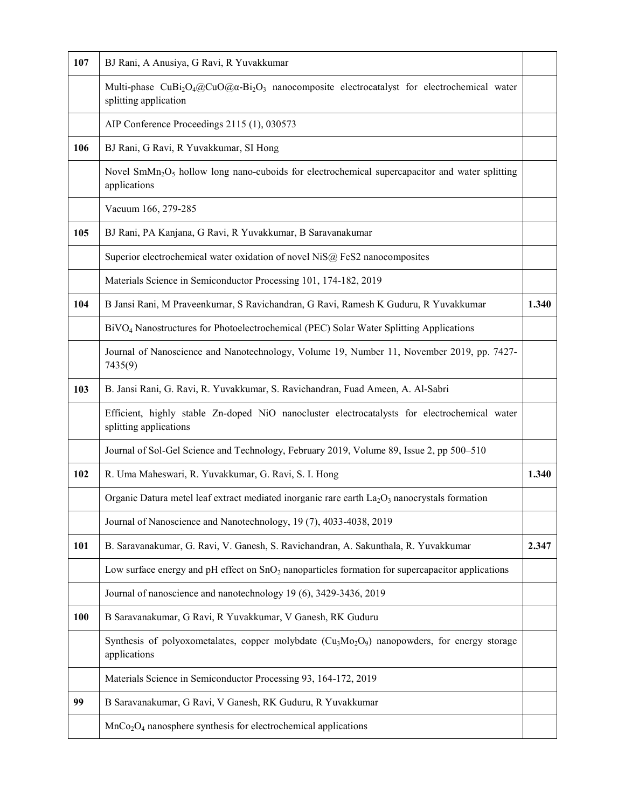| 107 | BJ Rani, A Anusiya, G Ravi, R Yuvakkumar                                                                                                                                     |       |
|-----|------------------------------------------------------------------------------------------------------------------------------------------------------------------------------|-------|
|     | Multi-phase CuBi <sub>2</sub> O <sub>4</sub> @CuO@ $\alpha$ -Bi <sub>2</sub> O <sub>3</sub> nanocomposite electrocatalyst for electrochemical water<br>splitting application |       |
|     | AIP Conference Proceedings 2115 (1), 030573                                                                                                                                  |       |
| 106 | BJ Rani, G Ravi, R Yuvakkumar, SI Hong                                                                                                                                       |       |
|     | Novel $SmMn_2O_5$ hollow long nano-cuboids for electrochemical supercapacitor and water splitting<br>applications                                                            |       |
|     | Vacuum 166, 279-285                                                                                                                                                          |       |
| 105 | BJ Rani, PA Kanjana, G Ravi, R Yuvakkumar, B Saravanakumar                                                                                                                   |       |
|     | Superior electrochemical water oxidation of novel NiS@ FeS2 nanocomposites                                                                                                   |       |
|     | Materials Science in Semiconductor Processing 101, 174-182, 2019                                                                                                             |       |
| 104 | B Jansi Rani, M Praveenkumar, S Ravichandran, G Ravi, Ramesh K Guduru, R Yuvakkumar                                                                                          | 1.340 |
|     | BiVO <sub>4</sub> Nanostructures for Photoelectrochemical (PEC) Solar Water Splitting Applications                                                                           |       |
|     | Journal of Nanoscience and Nanotechnology, Volume 19, Number 11, November 2019, pp. 7427-<br>7435(9)                                                                         |       |
| 103 | B. Jansi Rani, G. Ravi, R. Yuvakkumar, S. Ravichandran, Fuad Ameen, A. Al-Sabri                                                                                              |       |
|     | Efficient, highly stable Zn-doped NiO nanocluster electrocatalysts for electrochemical water<br>splitting applications                                                       |       |
|     | Journal of Sol-Gel Science and Technology, February 2019, Volume 89, Issue 2, pp 500–510                                                                                     |       |
| 102 | R. Uma Maheswari, R. Yuvakkumar, G. Ravi, S. I. Hong                                                                                                                         | 1.340 |
|     | Organic Datura metel leaf extract mediated inorganic rare earth $La2O3$ nanocrystals formation                                                                               |       |
|     | Journal of Nanoscience and Nanotechnology, 19 (7), 4033-4038, 2019                                                                                                           |       |
| 101 | B. Saravanakumar, G. Ravi, V. Ganesh, S. Ravichandran, A. Sakunthala, R. Yuvakkumar                                                                                          | 2.347 |
|     | Low surface energy and pH effect on SnO <sub>2</sub> nanoparticles formation for supercapacitor applications                                                                 |       |
|     | Journal of nanoscience and nanotechnology 19 (6), 3429-3436, 2019                                                                                                            |       |
| 100 | B Saravanakumar, G Ravi, R Yuvakkumar, V Ganesh, RK Guduru                                                                                                                   |       |
|     | Synthesis of polyoxometalates, copper molybdate (Cu <sub>3</sub> Mo <sub>2</sub> O <sub>9</sub> ) nanopowders, for energy storage<br>applications                            |       |
|     | Materials Science in Semiconductor Processing 93, 164-172, 2019                                                                                                              |       |
| 99  | B Saravanakumar, G Ravi, V Ganesh, RK Guduru, R Yuvakkumar                                                                                                                   |       |
|     | $MnCo2O4$ nanosphere synthesis for electrochemical applications                                                                                                              |       |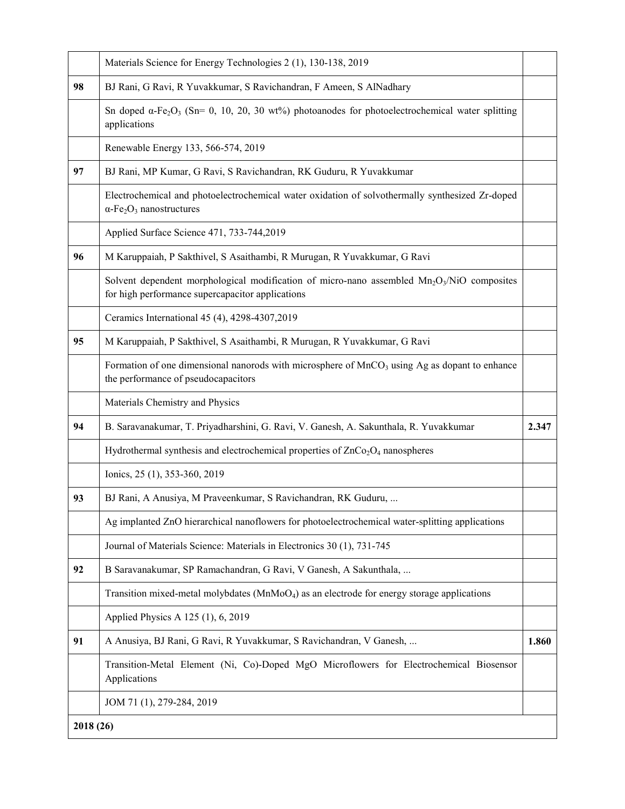|           | Materials Science for Energy Technologies 2 (1), 130-138, 2019                                                                                             |       |
|-----------|------------------------------------------------------------------------------------------------------------------------------------------------------------|-------|
| 98        | BJ Rani, G Ravi, R Yuvakkumar, S Ravichandran, F Ameen, S AlNadhary                                                                                        |       |
|           | Sn doped $\alpha$ -Fe <sub>2</sub> O <sub>3</sub> (Sn= 0, 10, 20, 30 wt%) photoanodes for photoelectrochemical water splitting<br>applications             |       |
|           | Renewable Energy 133, 566-574, 2019                                                                                                                        |       |
| 97        | BJ Rani, MP Kumar, G Ravi, S Ravichandran, RK Guduru, R Yuvakkumar                                                                                         |       |
|           | Electrochemical and photoelectrochemical water oxidation of solvothermally synthesized Zr-doped<br>$\alpha$ -Fe <sub>2</sub> O <sub>3</sub> nanostructures |       |
|           | Applied Surface Science 471, 733-744,2019                                                                                                                  |       |
| 96        | M Karuppaiah, P Sakthivel, S Asaithambi, R Murugan, R Yuvakkumar, G Ravi                                                                                   |       |
|           | Solvent dependent morphological modification of micro-nano assembled $Mn_2O_3/NiO$ composites<br>for high performance supercapacitor applications          |       |
|           | Ceramics International 45 (4), 4298-4307, 2019                                                                                                             |       |
| 95        | M Karuppaiah, P Sakthivel, S Asaithambi, R Murugan, R Yuvakkumar, G Ravi                                                                                   |       |
|           | Formation of one dimensional nanorods with microsphere of $MnCO3$ using Ag as dopant to enhance<br>the performance of pseudocapacitors                     |       |
|           | Materials Chemistry and Physics                                                                                                                            |       |
| 94        | B. Saravanakumar, T. Priyadharshini, G. Ravi, V. Ganesh, A. Sakunthala, R. Yuvakkumar                                                                      | 2.347 |
|           | Hydrothermal synthesis and electrochemical properties of ZnCo <sub>2</sub> O <sub>4</sub> nanospheres                                                      |       |
|           | Ionics, 25 (1), 353-360, 2019                                                                                                                              |       |
| 93        | BJ Rani, A Anusiya, M Praveenkumar, S Ravichandran, RK Guduru,                                                                                             |       |
|           | Ag implanted ZnO hierarchical nanoflowers for photoelectrochemical water-splitting applications                                                            |       |
|           | Journal of Materials Science: Materials in Electronics 30 (1), 731-745                                                                                     |       |
| 92        | B Saravanakumar, SP Ramachandran, G Ravi, V Ganesh, A Sakunthala,                                                                                          |       |
|           | Transition mixed-metal molybdates $(MnMoO4)$ as an electrode for energy storage applications                                                               |       |
|           | Applied Physics A 125 (1), 6, 2019                                                                                                                         |       |
| 91        | A Anusiya, BJ Rani, G Ravi, R Yuvakkumar, S Ravichandran, V Ganesh,                                                                                        | 1.860 |
|           | Transition-Metal Element (Ni, Co)-Doped MgO Microflowers for Electrochemical Biosensor<br>Applications                                                     |       |
|           | JOM 71 (1), 279-284, 2019                                                                                                                                  |       |
| 2018 (26) |                                                                                                                                                            |       |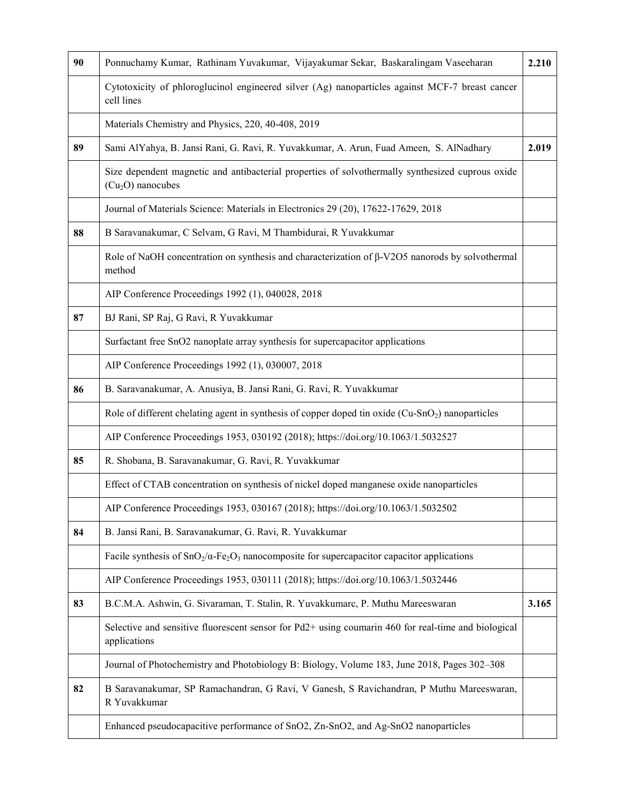| 90 | Ponnuchamy Kumar, Rathinam Yuvakumar, Vijayakumar Sekar, Baskaralingam Vaseeharan                                          | 2.210 |
|----|----------------------------------------------------------------------------------------------------------------------------|-------|
|    | Cytotoxicity of phloroglucinol engineered silver (Ag) nanoparticles against MCF-7 breast cancer<br>cell lines              |       |
|    | Materials Chemistry and Physics, 220, 40-408, 2019                                                                         |       |
| 89 | Sami AlYahya, B. Jansi Rani, G. Ravi, R. Yuvakkumar, A. Arun, Fuad Ameen, S. AlNadhary                                     | 2.019 |
|    | Size dependent magnetic and antibacterial properties of solvothermally synthesized cuprous oxide<br>$(Cu2O)$ nanocubes     |       |
|    | Journal of Materials Science: Materials in Electronics 29 (20), 17622-17629, 2018                                          |       |
| 88 | B Saravanakumar, C Selvam, G Ravi, M Thambidurai, R Yuvakkumar                                                             |       |
|    | Role of NaOH concentration on synthesis and characterization of $\beta$ -V2O5 nanorods by solvothermal<br>method           |       |
|    | AIP Conference Proceedings 1992 (1), 040028, 2018                                                                          |       |
| 87 | BJ Rani, SP Raj, G Ravi, R Yuvakkumar                                                                                      |       |
|    | Surfactant free SnO2 nanoplate array synthesis for supercapacitor applications                                             |       |
|    | AIP Conference Proceedings 1992 (1), 030007, 2018                                                                          |       |
| 86 | B. Saravanakumar, A. Anusiya, B. Jansi Rani, G. Ravi, R. Yuvakkumar                                                        |       |
|    | Role of different chelating agent in synthesis of copper doped tin oxide (Cu-SnO <sub>2</sub> ) nanoparticles              |       |
|    | AIP Conference Proceedings 1953, 030192 (2018); https://doi.org/10.1063/1.5032527                                          |       |
| 85 | R. Shobana, B. Saravanakumar, G. Ravi, R. Yuvakkumar                                                                       |       |
|    | Effect of CTAB concentration on synthesis of nickel doped manganese oxide nanoparticles                                    |       |
|    | AIP Conference Proceedings 1953, 030167 (2018); https://doi.org/10.1063/1.5032502                                          |       |
| 84 | B. Jansi Rani, B. Saravanakumar, G. Ravi, R. Yuvakkumar                                                                    |       |
|    | Facile synthesis of $SnO_2/\alpha$ -Fe <sub>2</sub> O <sub>3</sub> nanocomposite for supercapacitor capacitor applications |       |
|    | AIP Conference Proceedings 1953, 030111 (2018); https://doi.org/10.1063/1.5032446                                          |       |
| 83 | B.C.M.A. Ashwin, G. Sivaraman, T. Stalin, R. Yuvakkumarc, P. Muthu Mareeswaran                                             | 3.165 |
|    | Selective and sensitive fluorescent sensor for Pd2+ using coumarin 460 for real-time and biological<br>applications        |       |
|    | Journal of Photochemistry and Photobiology B: Biology, Volume 183, June 2018, Pages 302-308                                |       |
| 82 | B Saravanakumar, SP Ramachandran, G Ravi, V Ganesh, S Ravichandran, P Muthu Mareeswaran,<br>R Yuvakkumar                   |       |
|    | Enhanced pseudocapacitive performance of SnO2, Zn-SnO2, and Ag-SnO2 nanoparticles                                          |       |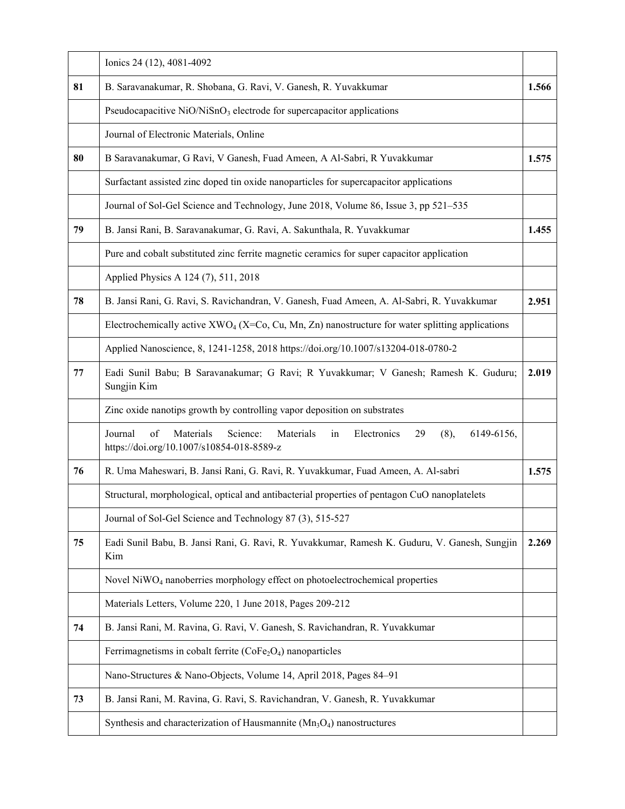|    | Ionics 24 (12), 4081-4092                                                                                                                         |       |
|----|---------------------------------------------------------------------------------------------------------------------------------------------------|-------|
| 81 | B. Saravanakumar, R. Shobana, G. Ravi, V. Ganesh, R. Yuvakkumar                                                                                   | 1.566 |
|    | Pseudocapacitive $NiO/NiSnO3$ electrode for supercapacitor applications                                                                           |       |
|    | Journal of Electronic Materials, Online                                                                                                           |       |
| 80 | B Saravanakumar, G Ravi, V Ganesh, Fuad Ameen, A Al-Sabri, R Yuvakkumar                                                                           | 1.575 |
|    | Surfactant assisted zinc doped tin oxide nanoparticles for supercapacitor applications                                                            |       |
|    | Journal of Sol-Gel Science and Technology, June 2018, Volume 86, Issue 3, pp 521-535                                                              |       |
| 79 | B. Jansi Rani, B. Saravanakumar, G. Ravi, A. Sakunthala, R. Yuvakkumar                                                                            | 1.455 |
|    | Pure and cobalt substituted zinc ferrite magnetic ceramics for super capacitor application                                                        |       |
|    | Applied Physics A 124 (7), 511, 2018                                                                                                              |       |
| 78 | B. Jansi Rani, G. Ravi, S. Ravichandran, V. Ganesh, Fuad Ameen, A. Al-Sabri, R. Yuvakkumar                                                        | 2.951 |
|    | Electrochemically active $XWO_4$ (X=Co, Cu, Mn, Zn) nanostructure for water splitting applications                                                |       |
|    | Applied Nanoscience, 8, 1241-1258, 2018 https://doi.org/10.1007/s13204-018-0780-2                                                                 |       |
| 77 | Eadi Sunil Babu; B Saravanakumar; G Ravi; R Yuvakkumar; V Ganesh; Ramesh K. Guduru;<br>Sungjin Kim                                                | 2.019 |
|    | Zinc oxide nanotips growth by controlling vapor deposition on substrates                                                                          |       |
|    | of<br>Journal<br>Materials<br>Science:<br>Materials<br>Electronics<br>29<br>(8),<br>6149-6156,<br>in<br>https://doi.org/10.1007/s10854-018-8589-z |       |
| 76 | R. Uma Maheswari, B. Jansi Rani, G. Ravi, R. Yuvakkumar, Fuad Ameen, A. Al-sabri                                                                  | 1.575 |
|    | Structural, morphological, optical and antibacterial properties of pentagon CuO nanoplatelets                                                     |       |
|    | Journal of Sol-Gel Science and Technology 87 (3), 515-527                                                                                         |       |
| 75 | Eadi Sunil Babu, B. Jansi Rani, G. Ravi, R. Yuvakkumar, Ramesh K. Guduru, V. Ganesh, Sungjin<br>Kim                                               | 2.269 |
|    | Novel NiWO <sub>4</sub> nanoberries morphology effect on photoelectrochemical properties                                                          |       |
|    | Materials Letters, Volume 220, 1 June 2018, Pages 209-212                                                                                         |       |
| 74 | B. Jansi Rani, M. Ravina, G. Ravi, V. Ganesh, S. Ravichandran, R. Yuvakkumar                                                                      |       |
|    | Ferrimagnetisms in cobalt ferrite $(CoFe2O4)$ nanoparticles                                                                                       |       |
|    | Nano-Structures & Nano-Objects, Volume 14, April 2018, Pages 84–91                                                                                |       |
| 73 | B. Jansi Rani, M. Ravina, G. Ravi, S. Ravichandran, V. Ganesh, R. Yuvakkumar                                                                      |       |
|    | Synthesis and characterization of Hausmannite $(Mn_3O_4)$ nanostructures                                                                          |       |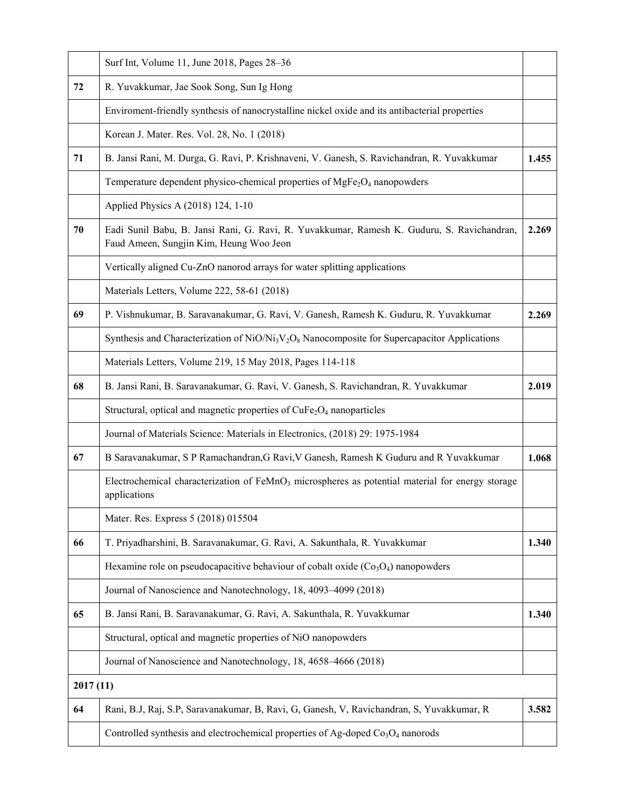|          | Surf Int, Volume 11, June 2018, Pages 28-36                                                                                           |       |
|----------|---------------------------------------------------------------------------------------------------------------------------------------|-------|
| 72       | R. Yuvakkumar, Jae Sook Song, Sun Ig Hong                                                                                             |       |
|          | Enviroment-friendly synthesis of nanocrystalline nickel oxide and its antibacterial properties                                        |       |
|          | Korean J. Mater. Res. Vol. 28, No. 1 (2018)                                                                                           |       |
| 71       | B. Jansi Rani, M. Durga, G. Ravi, P. Krishnaveni, V. Ganesh, S. Ravichandran, R. Yuvakkumar                                           | 1.455 |
|          | Temperature dependent physico-chemical properties of $MgFe2O4$ nanopowders                                                            |       |
|          | Applied Physics A (2018) 124, 1-10                                                                                                    |       |
| 70       | Eadi Sunil Babu, B. Jansi Rani, G. Ravi, R. Yuvakkumar, Ramesh K. Guduru, S. Ravichandran,<br>Faud Ameen, Sungjin Kim, Heung Woo Jeon | 2.269 |
|          | Vertically aligned Cu-ZnO nanorod arrays for water splitting applications                                                             |       |
|          | Materials Letters, Volume 222, 58-61 (2018)                                                                                           |       |
| 69       | P. Vishnukumar, B. Saravanakumar, G. Ravi, V. Ganesh, Ramesh K. Guduru, R. Yuvakkumar                                                 | 2.269 |
|          | Synthesis and Characterization of $NiO/Ni3V2O8$ Nanocomposite for Supercapacitor Applications                                         |       |
|          | Materials Letters, Volume 219, 15 May 2018, Pages 114-118                                                                             |       |
| 68       | B. Jansi Rani, B. Saravanakumar, G. Ravi, V. Ganesh, S. Ravichandran, R. Yuvakkumar                                                   | 2.019 |
|          | Structural, optical and magnetic properties of CuFe <sub>2</sub> O <sub>4</sub> nanoparticles                                         |       |
|          | Journal of Materials Science: Materials in Electronics, (2018) 29: 1975-1984                                                          |       |
| 67       | B Saravanakumar, S P Ramachandran, G Ravi, V Ganesh, Ramesh K Guduru and R Yuvakkumar                                                 | 1.068 |
|          | Electrochemical characterization of FeMnO <sub>3</sub> microspheres as potential material for energy storage<br>applications          |       |
|          | Mater. Res. Express 5 (2018) 015504                                                                                                   |       |
| 66       | T. Priyadharshini, B. Saravanakumar, G. Ravi, A. Sakunthala, R. Yuvakkumar                                                            | 1.340 |
|          | Hexamine role on pseudocapacitive behaviour of cobalt oxide $(Co3O4)$ nanopowders                                                     |       |
|          | Journal of Nanoscience and Nanotechnology, 18, 4093-4099 (2018)                                                                       |       |
| 65       | B. Jansi Rani, B. Saravanakumar, G. Ravi, A. Sakunthala, R. Yuvakkumar                                                                | 1.340 |
|          | Structural, optical and magnetic properties of NiO nanopowders                                                                        |       |
|          | Journal of Nanoscience and Nanotechnology, 18, 4658-4666 (2018)                                                                       |       |
| 2017(11) |                                                                                                                                       |       |
| 64       | Rani, B.J, Raj, S.P, Saravanakumar, B, Ravi, G, Ganesh, V, Ravichandran, S, Yuvakkumar, R                                             | 3.582 |
|          | Controlled synthesis and electrochemical properties of Ag-doped $Co3O4$ nanorods                                                      |       |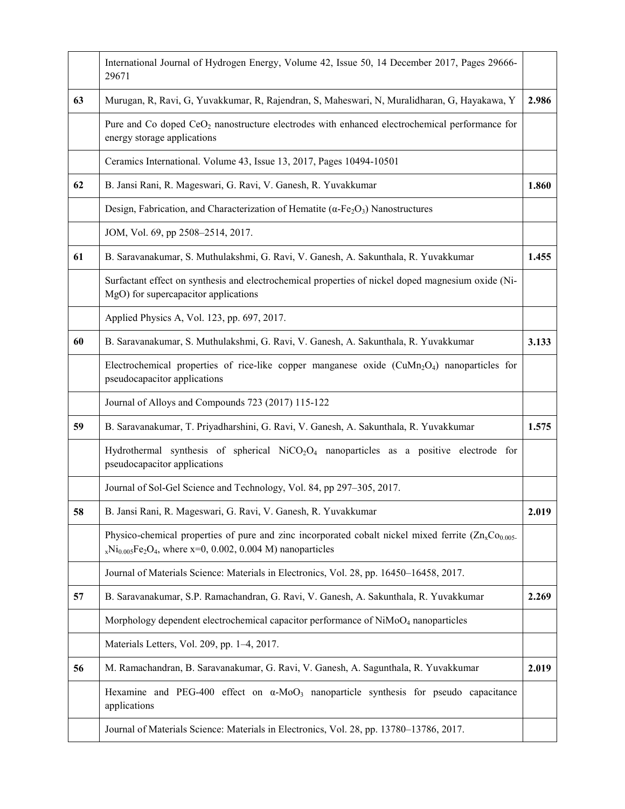|    | International Journal of Hydrogen Energy, Volume 42, Issue 50, 14 December 2017, Pages 29666-<br>29671                                                                            |       |
|----|-----------------------------------------------------------------------------------------------------------------------------------------------------------------------------------|-------|
| 63 | Murugan, R, Ravi, G, Yuvakkumar, R, Rajendran, S, Maheswari, N, Muralidharan, G, Hayakawa, Y                                                                                      | 2.986 |
|    | Pure and Co doped $CeO2$ nanostructure electrodes with enhanced electrochemical performance for<br>energy storage applications                                                    |       |
|    | Ceramics International. Volume 43, Issue 13, 2017, Pages 10494-10501                                                                                                              |       |
| 62 | B. Jansi Rani, R. Mageswari, G. Ravi, V. Ganesh, R. Yuvakkumar                                                                                                                    | 1.860 |
|    | Design, Fabrication, and Characterization of Hematite ( $\alpha$ -Fe <sub>2</sub> O <sub>3</sub> ) Nanostructures                                                                 |       |
|    | JOM, Vol. 69, pp 2508-2514, 2017.                                                                                                                                                 |       |
| 61 | B. Saravanakumar, S. Muthulakshmi, G. Ravi, V. Ganesh, A. Sakunthala, R. Yuvakkumar                                                                                               | 1.455 |
|    | Surfactant effect on synthesis and electrochemical properties of nickel doped magnesium oxide (Ni-<br>MgO) for supercapacitor applications                                        |       |
|    | Applied Physics A, Vol. 123, pp. 697, 2017.                                                                                                                                       |       |
| 60 | B. Saravanakumar, S. Muthulakshmi, G. Ravi, V. Ganesh, A. Sakunthala, R. Yuvakkumar                                                                                               | 3.133 |
|    | Electrochemical properties of rice-like copper manganese oxide $(CuMn_2O_4)$ nanoparticles for<br>pseudocapacitor applications                                                    |       |
|    | Journal of Alloys and Compounds 723 (2017) 115-122                                                                                                                                |       |
| 59 | B. Saravanakumar, T. Priyadharshini, G. Ravi, V. Ganesh, A. Sakunthala, R. Yuvakkumar                                                                                             | 1.575 |
|    | Hydrothermal synthesis of spherical $NiCO2O4$ nanoparticles as a positive electrode for<br>pseudocapacitor applications                                                           |       |
|    | Journal of Sol-Gel Science and Technology, Vol. 84, pp 297-305, 2017.                                                                                                             |       |
| 58 | B. Jansi Rani, R. Mageswari, G. Ravi, V. Ganesh, R. Yuvakkumar                                                                                                                    | 2.019 |
|    | Physico-chemical properties of pure and zinc incorporated cobalt nickel mixed ferrite $(Zn_xCo_{0.005}$<br>$_{x}Ni_{0.005}Fe_{2}O_{4}$ , where x=0, 0.002, 0.004 M) nanoparticles |       |
|    | Journal of Materials Science: Materials in Electronics, Vol. 28, pp. 16450–16458, 2017.                                                                                           |       |
| 57 | B. Saravanakumar, S.P. Ramachandran, G. Ravi, V. Ganesh, A. Sakunthala, R. Yuvakkumar                                                                                             | 2.269 |
|    | Morphology dependent electrochemical capacitor performance of NiMoO <sub>4</sub> nanoparticles                                                                                    |       |
|    | Materials Letters, Vol. 209, pp. 1-4, 2017.                                                                                                                                       |       |
| 56 | M. Ramachandran, B. Saravanakumar, G. Ravi, V. Ganesh, A. Sagunthala, R. Yuvakkumar                                                                                               | 2.019 |
|    | Hexamine and PEG-400 effect on $\alpha$ -MoO <sub>3</sub> nanoparticle synthesis for pseudo capacitance<br>applications                                                           |       |
|    | Journal of Materials Science: Materials in Electronics, Vol. 28, pp. 13780-13786, 2017.                                                                                           |       |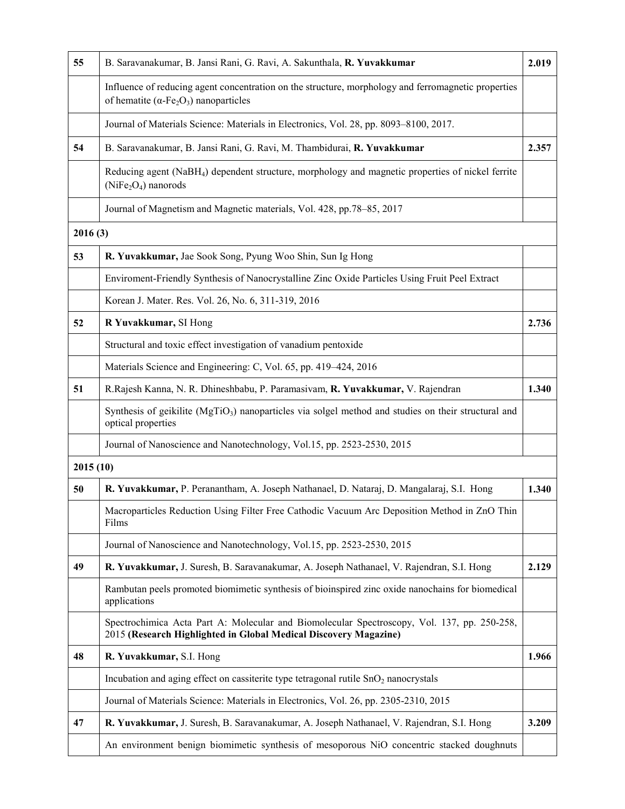| 55       | B. Saravanakumar, B. Jansi Rani, G. Ravi, A. Sakunthala, R. Yuvakkumar                                                                                                        |       |  |
|----------|-------------------------------------------------------------------------------------------------------------------------------------------------------------------------------|-------|--|
|          | Influence of reducing agent concentration on the structure, morphology and ferromagnetic properties<br>of hematite ( $\alpha$ -Fe <sub>2</sub> O <sub>3</sub> ) nanoparticles |       |  |
|          | Journal of Materials Science: Materials in Electronics, Vol. 28, pp. 8093-8100, 2017.                                                                                         |       |  |
| 54       | B. Saravanakumar, B. Jansi Rani, G. Ravi, M. Thambidurai, R. Yuvakkumar                                                                                                       | 2.357 |  |
|          | Reducing agent (NaBH <sub>4</sub> ) dependent structure, morphology and magnetic properties of nickel ferrite<br>$(NiFe2O4)$ nanorods                                         |       |  |
|          | Journal of Magnetism and Magnetic materials, Vol. 428, pp.78–85, 2017                                                                                                         |       |  |
| 2016(3)  |                                                                                                                                                                               |       |  |
| 53       | R. Yuvakkumar, Jae Sook Song, Pyung Woo Shin, Sun Ig Hong                                                                                                                     |       |  |
|          | Enviroment-Friendly Synthesis of Nanocrystalline Zinc Oxide Particles Using Fruit Peel Extract                                                                                |       |  |
|          | Korean J. Mater. Res. Vol. 26, No. 6, 311-319, 2016                                                                                                                           |       |  |
| 52       | R Yuvakkumar, SI Hong                                                                                                                                                         |       |  |
|          | Structural and toxic effect investigation of vanadium pentoxide                                                                                                               |       |  |
|          | Materials Science and Engineering: C, Vol. 65, pp. 419-424, 2016                                                                                                              |       |  |
| 51       | R. Rajesh Kanna, N. R. Dhineshbabu, P. Paramasiyam, R. Yuvakkumar, V. Rajendran                                                                                               | 1.340 |  |
|          | Synthesis of geikilite (MgTiO <sub>3</sub> ) nanoparticles via solgel method and studies on their structural and<br>optical properties                                        |       |  |
|          | Journal of Nanoscience and Nanotechnology, Vol.15, pp. 2523-2530, 2015                                                                                                        |       |  |
| 2015(10) |                                                                                                                                                                               |       |  |
| 50       | R. Yuvakkumar, P. Peranantham, A. Joseph Nathanael, D. Nataraj, D. Mangalaraj, S.I. Hong                                                                                      | 1.340 |  |
|          | Macroparticles Reduction Using Filter Free Cathodic Vacuum Arc Deposition Method in ZnO Thin<br>Films                                                                         |       |  |
|          | Journal of Nanoscience and Nanotechnology, Vol.15, pp. 2523-2530, 2015                                                                                                        |       |  |
| 49       | R. Yuvakkumar, J. Suresh, B. Saravanakumar, A. Joseph Nathanael, V. Rajendran, S.I. Hong                                                                                      | 2.129 |  |
|          | Rambutan peels promoted biomimetic synthesis of bioinspired zinc oxide nanochains for biomedical<br>applications                                                              |       |  |
|          | Spectrochimica Acta Part A: Molecular and Biomolecular Spectroscopy, Vol. 137, pp. 250-258,<br>2015 (Research Highlighted in Global Medical Discovery Magazine)               |       |  |
| 48       | R. Yuvakkumar, S.I. Hong                                                                                                                                                      | 1.966 |  |
|          | Incubation and aging effect on cassiterite type tetragonal rutile SnO <sub>2</sub> nanocrystals                                                                               |       |  |
|          | Journal of Materials Science: Materials in Electronics, Vol. 26, pp. 2305-2310, 2015                                                                                          |       |  |
| 47       | R. Yuvakkumar, J. Suresh, B. Saravanakumar, A. Joseph Nathanael, V. Rajendran, S.I. Hong                                                                                      |       |  |
|          | An environment benign biomimetic synthesis of mesoporous NiO concentric stacked doughnuts                                                                                     |       |  |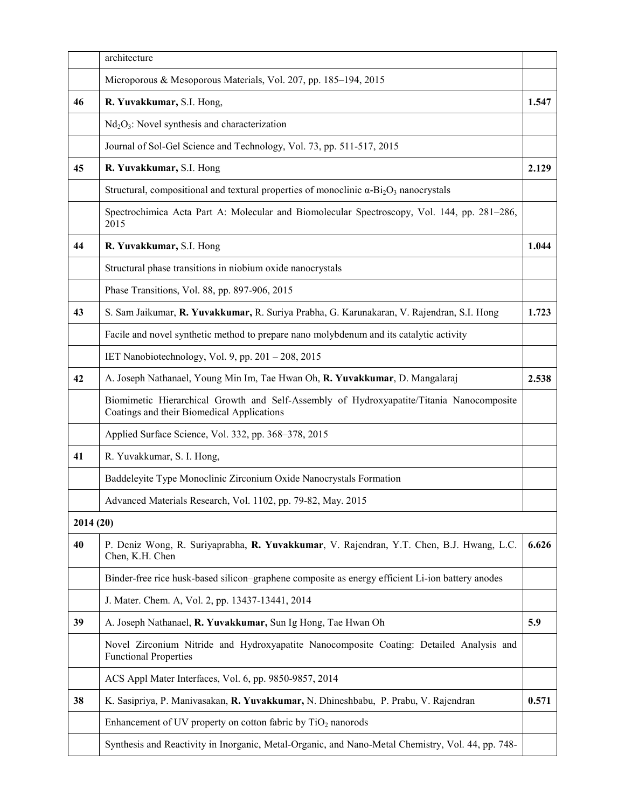|           | architecture                                                                                                                           |       |  |  |
|-----------|----------------------------------------------------------------------------------------------------------------------------------------|-------|--|--|
|           | Microporous & Mesoporous Materials, Vol. 207, pp. 185-194, 2015                                                                        |       |  |  |
| 46        | R. Yuvakkumar, S.I. Hong,<br>1.547                                                                                                     |       |  |  |
|           | $Nd2O3$ : Novel synthesis and characterization                                                                                         |       |  |  |
|           | Journal of Sol-Gel Science and Technology, Vol. 73, pp. 511-517, 2015                                                                  |       |  |  |
| 45        | 2.129<br>R. Yuvakkumar, S.I. Hong                                                                                                      |       |  |  |
|           | Structural, compositional and textural properties of monoclinic $\alpha$ -Bi <sub>2</sub> O <sub>3</sub> nanocrystals                  |       |  |  |
|           | Spectrochimica Acta Part A: Molecular and Biomolecular Spectroscopy, Vol. 144, pp. 281-286,<br>2015                                    |       |  |  |
| 44        | R. Yuvakkumar, S.I. Hong                                                                                                               |       |  |  |
|           | Structural phase transitions in niobium oxide nanocrystals                                                                             |       |  |  |
|           | Phase Transitions, Vol. 88, pp. 897-906, 2015                                                                                          |       |  |  |
| 43        | S. Sam Jaikumar, R. Yuvakkumar, R. Suriya Prabha, G. Karunakaran, V. Rajendran, S.I. Hong                                              | 1.723 |  |  |
|           | Facile and novel synthetic method to prepare nano molybdenum and its catalytic activity                                                |       |  |  |
|           | IET Nanobiotechnology, Vol. 9, pp. 201 - 208, 2015                                                                                     |       |  |  |
| 42        | A. Joseph Nathanael, Young Min Im, Tae Hwan Oh, R. Yuvakkumar, D. Mangalaraj                                                           | 2.538 |  |  |
|           | Biomimetic Hierarchical Growth and Self-Assembly of Hydroxyapatite/Titania Nanocomposite<br>Coatings and their Biomedical Applications |       |  |  |
|           | Applied Surface Science, Vol. 332, pp. 368–378, 2015                                                                                   |       |  |  |
| 41        | R. Yuvakkumar, S. I. Hong,                                                                                                             |       |  |  |
|           | Baddeleyite Type Monoclinic Zirconium Oxide Nanocrystals Formation                                                                     |       |  |  |
|           | Advanced Materials Research, Vol. 1102, pp. 79-82, May. 2015                                                                           |       |  |  |
| 2014 (20) |                                                                                                                                        |       |  |  |
| 40        | P. Deniz Wong, R. Suriyaprabha, R. Yuvakkumar, V. Rajendran, Y.T. Chen, B.J. Hwang, L.C.<br>Chen, K.H. Chen                            | 6.626 |  |  |
|           | Binder-free rice husk-based silicon-graphene composite as energy efficient Li-ion battery anodes                                       |       |  |  |
|           | J. Mater. Chem. A, Vol. 2, pp. 13437-13441, 2014                                                                                       |       |  |  |
| 39        | A. Joseph Nathanael, R. Yuvakkumar, Sun Ig Hong, Tae Hwan Oh                                                                           | 5.9   |  |  |
|           | Novel Zirconium Nitride and Hydroxyapatite Nanocomposite Coating: Detailed Analysis and<br><b>Functional Properties</b>                |       |  |  |
|           | ACS Appl Mater Interfaces, Vol. 6, pp. 9850-9857, 2014                                                                                 |       |  |  |
| 38        | K. Sasipriya, P. Manivasakan, R. Yuvakkumar, N. Dhineshbabu, P. Prabu, V. Rajendran                                                    | 0.571 |  |  |
|           | Enhancement of UV property on cotton fabric by $TiO2$ nanorods                                                                         |       |  |  |
|           | Synthesis and Reactivity in Inorganic, Metal-Organic, and Nano-Metal Chemistry, Vol. 44, pp. 748-                                      |       |  |  |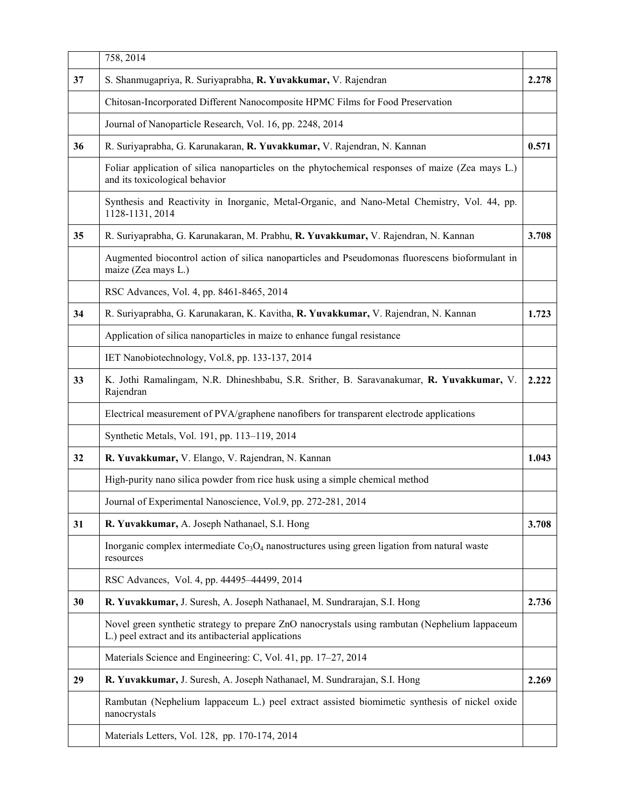|    | 758, 2014                                                                                                                                             |       |  |  |  |  |
|----|-------------------------------------------------------------------------------------------------------------------------------------------------------|-------|--|--|--|--|
| 37 | S. Shanmugapriya, R. Suriyaprabha, R. Yuvakkumar, V. Rajendran                                                                                        | 2.278 |  |  |  |  |
|    | Chitosan-Incorporated Different Nanocomposite HPMC Films for Food Preservation                                                                        |       |  |  |  |  |
|    | Journal of Nanoparticle Research, Vol. 16, pp. 2248, 2014                                                                                             |       |  |  |  |  |
| 36 | R. Suriyaprabha, G. Karunakaran, R. Yuvakkumar, V. Rajendran, N. Kannan                                                                               |       |  |  |  |  |
|    | Foliar application of silica nanoparticles on the phytochemical responses of maize (Zea mays L.)<br>and its toxicological behavior                    |       |  |  |  |  |
|    | Synthesis and Reactivity in Inorganic, Metal-Organic, and Nano-Metal Chemistry, Vol. 44, pp.<br>1128-1131, 2014                                       |       |  |  |  |  |
| 35 | R. Suriyaprabha, G. Karunakaran, M. Prabhu, R. Yuvakkumar, V. Rajendran, N. Kannan                                                                    | 3.708 |  |  |  |  |
|    | Augmented biocontrol action of silica nanoparticles and Pseudomonas fluorescens bioformulant in<br>maize (Zea mays L.)                                |       |  |  |  |  |
|    | RSC Advances, Vol. 4, pp. 8461-8465, 2014                                                                                                             |       |  |  |  |  |
| 34 | R. Suriyaprabha, G. Karunakaran, K. Kavitha, R. Yuvakkumar, V. Rajendran, N. Kannan                                                                   | 1.723 |  |  |  |  |
|    | Application of silica nanoparticles in maize to enhance fungal resistance                                                                             |       |  |  |  |  |
|    | IET Nanobiotechnology, Vol.8, pp. 133-137, 2014                                                                                                       |       |  |  |  |  |
| 33 | K. Jothi Ramalingam, N.R. Dhineshbabu, S.R. Srither, B. Saravanakumar, R. Yuvakkumar, V.<br>Rajendran                                                 | 2.222 |  |  |  |  |
|    | Electrical measurement of PVA/graphene nanofibers for transparent electrode applications                                                              |       |  |  |  |  |
|    | Synthetic Metals, Vol. 191, pp. 113-119, 2014                                                                                                         |       |  |  |  |  |
| 32 | R. Yuvakkumar, V. Elango, V. Rajendran, N. Kannan                                                                                                     | 1.043 |  |  |  |  |
|    | High-purity nano silica powder from rice husk using a simple chemical method                                                                          |       |  |  |  |  |
|    | Journal of Experimental Nanoscience, Vol.9, pp. 272-281, 2014                                                                                         |       |  |  |  |  |
| 31 | R. Yuvakkumar, A. Joseph Nathanael, S.I. Hong                                                                                                         | 3.708 |  |  |  |  |
|    | Inorganic complex intermediate $Co3O4$ nanostructures using green ligation from natural waste<br>resources                                            |       |  |  |  |  |
|    | RSC Advances, Vol. 4, pp. 44495-44499, 2014                                                                                                           |       |  |  |  |  |
| 30 | R. Yuvakkumar, J. Suresh, A. Joseph Nathanael, M. Sundrarajan, S.I. Hong                                                                              | 2.736 |  |  |  |  |
|    | Novel green synthetic strategy to prepare ZnO nanocrystals using rambutan (Nephelium lappaceum<br>L.) peel extract and its antibacterial applications |       |  |  |  |  |
|    | Materials Science and Engineering: C, Vol. 41, pp. 17–27, 2014                                                                                        |       |  |  |  |  |
| 29 | R. Yuvakkumar, J. Suresh, A. Joseph Nathanael, M. Sundrarajan, S.I. Hong                                                                              | 2.269 |  |  |  |  |
|    | Rambutan (Nephelium lappaceum L.) peel extract assisted biomimetic synthesis of nickel oxide<br>nanocrystals                                          |       |  |  |  |  |
|    | Materials Letters, Vol. 128, pp. 170-174, 2014                                                                                                        |       |  |  |  |  |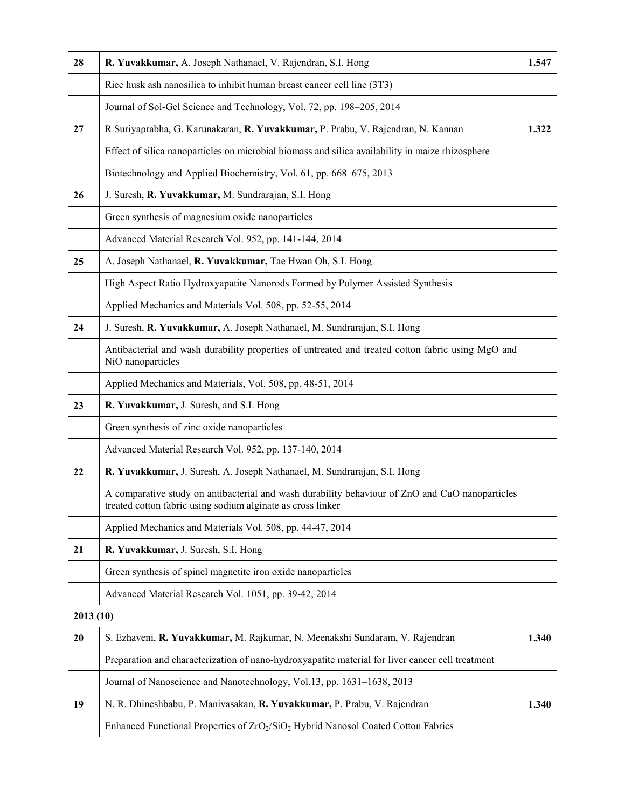| 28       | R. Yuvakkumar, A. Joseph Nathanael, V. Rajendran, S.I. Hong                                                                                                    |       |  |  |  |
|----------|----------------------------------------------------------------------------------------------------------------------------------------------------------------|-------|--|--|--|
|          | Rice husk ash nanosilica to inhibit human breast cancer cell line (3T3)                                                                                        |       |  |  |  |
|          | Journal of Sol-Gel Science and Technology, Vol. 72, pp. 198-205, 2014                                                                                          |       |  |  |  |
| 27       | R Suriyaprabha, G. Karunakaran, R. Yuvakkumar, P. Prabu, V. Rajendran, N. Kannan                                                                               |       |  |  |  |
|          | Effect of silica nanoparticles on microbial biomass and silica availability in maize rhizosphere                                                               |       |  |  |  |
|          | Biotechnology and Applied Biochemistry, Vol. 61, pp. 668-675, 2013                                                                                             |       |  |  |  |
| 26       | J. Suresh, R. Yuvakkumar, M. Sundrarajan, S.I. Hong                                                                                                            |       |  |  |  |
|          | Green synthesis of magnesium oxide nanoparticles                                                                                                               |       |  |  |  |
|          | Advanced Material Research Vol. 952, pp. 141-144, 2014                                                                                                         |       |  |  |  |
| 25       | A. Joseph Nathanael, R. Yuvakkumar, Tae Hwan Oh, S.I. Hong                                                                                                     |       |  |  |  |
|          | High Aspect Ratio Hydroxyapatite Nanorods Formed by Polymer Assisted Synthesis                                                                                 |       |  |  |  |
|          | Applied Mechanics and Materials Vol. 508, pp. 52-55, 2014                                                                                                      |       |  |  |  |
| 24       | J. Suresh, R. Yuvakkumar, A. Joseph Nathanael, M. Sundrarajan, S.I. Hong                                                                                       |       |  |  |  |
|          | Antibacterial and wash durability properties of untreated and treated cotton fabric using MgO and<br>NiO nanoparticles                                         |       |  |  |  |
|          | Applied Mechanics and Materials, Vol. 508, pp. 48-51, 2014                                                                                                     |       |  |  |  |
| 23       | R. Yuvakkumar, J. Suresh, and S.I. Hong                                                                                                                        |       |  |  |  |
|          | Green synthesis of zinc oxide nanoparticles                                                                                                                    |       |  |  |  |
|          | Advanced Material Research Vol. 952, pp. 137-140, 2014                                                                                                         |       |  |  |  |
| 22       | R. Yuvakkumar, J. Suresh, A. Joseph Nathanael, M. Sundrarajan, S.I. Hong                                                                                       |       |  |  |  |
|          | A comparative study on antibacterial and wash durability behaviour of ZnO and CuO nanoparticles<br>treated cotton fabric using sodium alginate as cross linker |       |  |  |  |
|          | Applied Mechanics and Materials Vol. 508, pp. 44-47, 2014                                                                                                      |       |  |  |  |
| 21       | R. Yuvakkumar, J. Suresh, S.I. Hong                                                                                                                            |       |  |  |  |
|          | Green synthesis of spinel magnetite iron oxide nanoparticles                                                                                                   |       |  |  |  |
|          | Advanced Material Research Vol. 1051, pp. 39-42, 2014                                                                                                          |       |  |  |  |
| 2013(10) |                                                                                                                                                                |       |  |  |  |
| 20       | S. Ezhaveni, R. Yuvakkumar, M. Rajkumar, N. Meenakshi Sundaram, V. Rajendran                                                                                   | 1.340 |  |  |  |
|          | Preparation and characterization of nano-hydroxyapatite material for liver cancer cell treatment                                                               |       |  |  |  |
|          | Journal of Nanoscience and Nanotechnology, Vol.13, pp. 1631-1638, 2013                                                                                         |       |  |  |  |
| 19       | N. R. Dhineshbabu, P. Manivasakan, R. Yuvakkumar, P. Prabu, V. Rajendran                                                                                       |       |  |  |  |
|          | Enhanced Functional Properties of ZrO <sub>2</sub> /SiO <sub>2</sub> Hybrid Nanosol Coated Cotton Fabrics                                                      |       |  |  |  |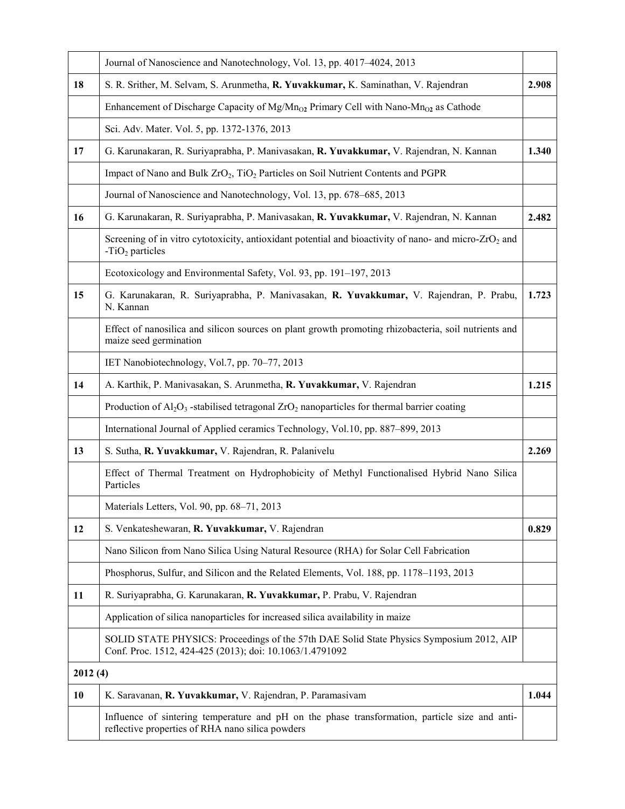|         | Journal of Nanoscience and Nanotechnology, Vol. 13, pp. 4017-4024, 2013                                                                              |       |  |  |  |
|---------|------------------------------------------------------------------------------------------------------------------------------------------------------|-------|--|--|--|
| 18      | S. R. Srither, M. Selvam, S. Arunmetha, R. Yuvakkumar, K. Saminathan, V. Rajendran                                                                   | 2.908 |  |  |  |
|         | Enhancement of Discharge Capacity of $Mg/Mn_{O2}$ Primary Cell with Nano-Mn <sub>O2</sub> as Cathode                                                 |       |  |  |  |
|         | Sci. Adv. Mater. Vol. 5, pp. 1372-1376, 2013                                                                                                         |       |  |  |  |
| 17      | G. Karunakaran, R. Suriyaprabha, P. Manivasakan, R. Yuvakkumar, V. Rajendran, N. Kannan                                                              | 1.340 |  |  |  |
|         | Impact of Nano and Bulk ZrO <sub>2</sub> , TiO <sub>2</sub> Particles on Soil Nutrient Contents and PGPR                                             |       |  |  |  |
|         | Journal of Nanoscience and Nanotechnology, Vol. 13, pp. 678–685, 2013                                                                                |       |  |  |  |
| 16      | G. Karunakaran, R. Suriyaprabha, P. Manivasakan, R. Yuvakkumar, V. Rajendran, N. Kannan                                                              |       |  |  |  |
|         | Screening of in vitro cytotoxicity, antioxidant potential and bioactivity of nano- and micro-ZrO <sub>2</sub> and<br>$-TiO2$ particles               |       |  |  |  |
|         | Ecotoxicology and Environmental Safety, Vol. 93, pp. 191-197, 2013                                                                                   |       |  |  |  |
| 15      | G. Karunakaran, R. Suriyaprabha, P. Manivasakan, R. Yuvakkumar, V. Rajendran, P. Prabu,<br>N. Kannan                                                 | 1.723 |  |  |  |
|         | Effect of nanosilica and silicon sources on plant growth promoting rhizobacteria, soil nutrients and<br>maize seed germination                       |       |  |  |  |
|         | IET Nanobiotechnology, Vol.7, pp. 70-77, 2013                                                                                                        |       |  |  |  |
| 14      | A. Karthik, P. Manivasakan, S. Arunmetha, R. Yuvakkumar, V. Rajendran                                                                                | 1.215 |  |  |  |
|         | Production of $Al_2O_3$ -stabilised tetragonal $ZrO_2$ nanoparticles for thermal barrier coating                                                     |       |  |  |  |
|         | International Journal of Applied ceramics Technology, Vol.10, pp. 887-899, 2013                                                                      |       |  |  |  |
| 13      | S. Sutha, R. Yuvakkumar, V. Rajendran, R. Palanivelu                                                                                                 | 2.269 |  |  |  |
|         | Effect of Thermal Treatment on Hydrophobicity of Methyl Functionalised Hybrid Nano Silica<br>Particles                                               |       |  |  |  |
|         | Materials Letters, Vol. 90, pp. 68–71, 2013                                                                                                          |       |  |  |  |
| 12      | S. Venkateshewaran, R. Yuvakkumar, V. Rajendran                                                                                                      |       |  |  |  |
|         | Nano Silicon from Nano Silica Using Natural Resource (RHA) for Solar Cell Fabrication                                                                |       |  |  |  |
|         | Phosphorus, Sulfur, and Silicon and the Related Elements, Vol. 188, pp. 1178–1193, 2013                                                              |       |  |  |  |
| 11      | R. Suriyaprabha, G. Karunakaran, R. Yuvakkumar, P. Prabu, V. Rajendran                                                                               |       |  |  |  |
|         | Application of silica nanoparticles for increased silica availability in maize                                                                       |       |  |  |  |
|         | SOLID STATE PHYSICS: Proceedings of the 57th DAE Solid State Physics Symposium 2012, AIP<br>Conf. Proc. 1512, 424-425 (2013); doi: 10.1063/1.4791092 |       |  |  |  |
| 2012(4) |                                                                                                                                                      |       |  |  |  |
| 10      | K. Saravanan, R. Yuvakkumar, V. Rajendran, P. Paramasivam                                                                                            | 1.044 |  |  |  |
|         | Influence of sintering temperature and pH on the phase transformation, particle size and anti-<br>reflective properties of RHA nano silica powders   |       |  |  |  |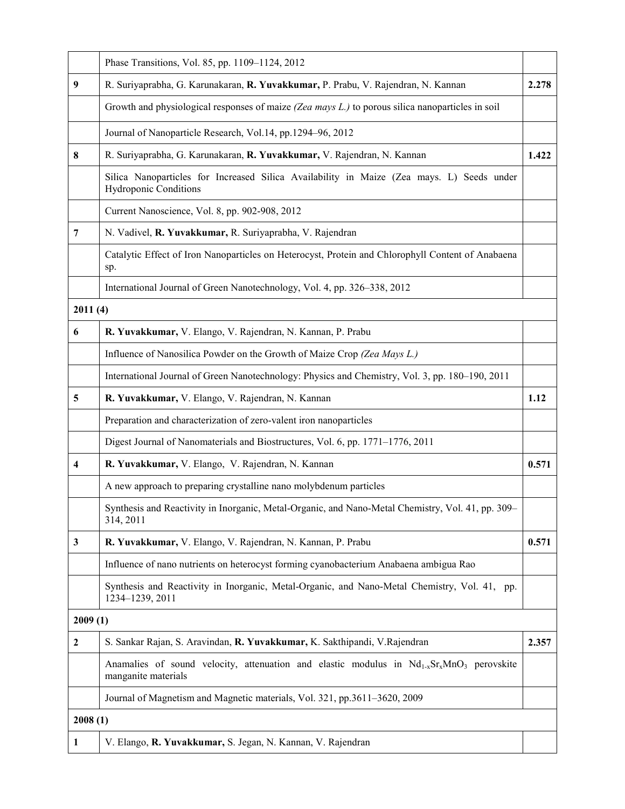|                                                        | Phase Transitions, Vol. 85, pp. 1109-1124, 2012                                                                           |       |  |  |  |  |
|--------------------------------------------------------|---------------------------------------------------------------------------------------------------------------------------|-------|--|--|--|--|
| 9                                                      | R. Suriyaprabha, G. Karunakaran, R. Yuvakkumar, P. Prabu, V. Rajendran, N. Kannan                                         | 2.278 |  |  |  |  |
|                                                        | Growth and physiological responses of maize (Zea mays L.) to porous silica nanoparticles in soil                          |       |  |  |  |  |
|                                                        | Journal of Nanoparticle Research, Vol.14, pp.1294-96, 2012                                                                |       |  |  |  |  |
| 8                                                      | R. Suriyaprabha, G. Karunakaran, R. Yuvakkumar, V. Rajendran, N. Kannan                                                   |       |  |  |  |  |
|                                                        | Silica Nanoparticles for Increased Silica Availability in Maize (Zea mays. L) Seeds under<br><b>Hydroponic Conditions</b> |       |  |  |  |  |
|                                                        | Current Nanoscience, Vol. 8, pp. 902-908, 2012                                                                            |       |  |  |  |  |
| 7                                                      | N. Vadivel, R. Yuvakkumar, R. Suriyaprabha, V. Rajendran                                                                  |       |  |  |  |  |
|                                                        | Catalytic Effect of Iron Nanoparticles on Heterocyst, Protein and Chlorophyll Content of Anabaena<br>sp.                  |       |  |  |  |  |
|                                                        | International Journal of Green Nanotechnology, Vol. 4, pp. 326–338, 2012                                                  |       |  |  |  |  |
| 2011(4)                                                |                                                                                                                           |       |  |  |  |  |
| 6                                                      | R. Yuvakkumar, V. Elango, V. Rajendran, N. Kannan, P. Prabu                                                               |       |  |  |  |  |
|                                                        | Influence of Nanosilica Powder on the Growth of Maize Crop (Zea Mays L.)                                                  |       |  |  |  |  |
|                                                        | International Journal of Green Nanotechnology: Physics and Chemistry, Vol. 3, pp. 180-190, 2011                           |       |  |  |  |  |
| 5<br>R. Yuvakkumar, V. Elango, V. Rajendran, N. Kannan |                                                                                                                           | 1.12  |  |  |  |  |
|                                                        | Preparation and characterization of zero-valent iron nanoparticles                                                        |       |  |  |  |  |
|                                                        | Digest Journal of Nanomaterials and Biostructures, Vol. 6, pp. 1771-1776, 2011                                            |       |  |  |  |  |
| 4                                                      | R. Yuvakkumar, V. Elango, V. Rajendran, N. Kannan                                                                         | 0.571 |  |  |  |  |
|                                                        | A new approach to preparing crystalline nano molybdenum particles                                                         |       |  |  |  |  |
|                                                        | Synthesis and Reactivity in Inorganic, Metal-Organic, and Nano-Metal Chemistry, Vol. 41, pp. 309–<br>314, 2011            |       |  |  |  |  |
| $\mathbf{3}$                                           | R. Yuvakkumar, V. Elango, V. Rajendran, N. Kannan, P. Prabu                                                               | 0.571 |  |  |  |  |
|                                                        | Influence of nano nutrients on heterocyst forming cyanobacterium Anabaena ambigua Rao                                     |       |  |  |  |  |
|                                                        | Synthesis and Reactivity in Inorganic, Metal-Organic, and Nano-Metal Chemistry, Vol. 41, pp.<br>1234-1239, 2011           |       |  |  |  |  |
| 2009(1)                                                |                                                                                                                           |       |  |  |  |  |
| $\boldsymbol{2}$                                       | S. Sankar Rajan, S. Aravindan, R. Yuvakkumar, K. Sakthipandi, V. Rajendran                                                | 2.357 |  |  |  |  |
|                                                        | Anamalies of sound velocity, attenuation and elastic modulus in $Nd_{1-x}Sr_xMnO_3$ perovskite<br>manganite materials     |       |  |  |  |  |
|                                                        | Journal of Magnetism and Magnetic materials, Vol. 321, pp.3611-3620, 2009                                                 |       |  |  |  |  |
| 2008(1)                                                |                                                                                                                           |       |  |  |  |  |
| 1                                                      | V. Elango, R. Yuvakkumar, S. Jegan, N. Kannan, V. Rajendran                                                               |       |  |  |  |  |